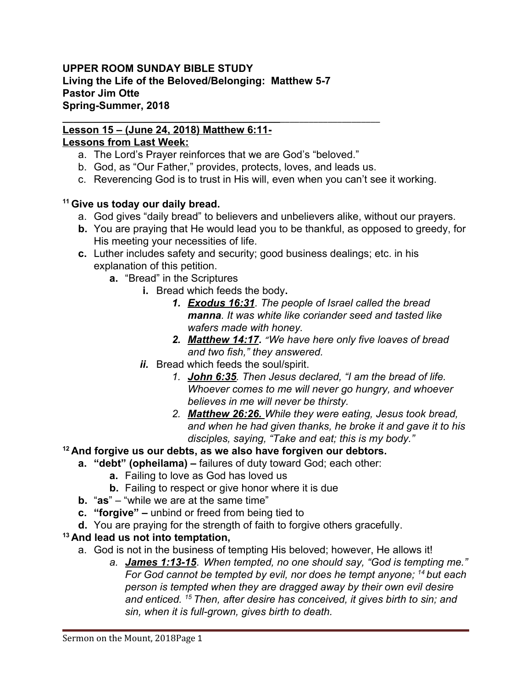#### **UPPER ROOM SUNDAY BIBLE STUDY Living the Life of the Beloved/Belonging: Matthew 5-7 Pastor Jim Otte Spring-Summer, 2018**

## **\_\_\_\_\_\_\_\_\_\_\_\_\_\_\_\_\_\_\_\_\_\_\_\_\_\_\_\_\_\_\_\_\_\_\_\_\_\_\_\_\_**\_\_\_\_\_\_\_\_\_\_\_\_\_\_\_\_\_\_\_\_\_ **Lesson 15 – (June 24, 2018) Matthew 6:11-**

# **Lessons from Last Week:**

- a. The Lord's Prayer reinforces that we are God's "beloved."
- b. God, as "Our Father," provides, protects, loves, and leads us.
- c. Reverencing God is to trust in His will, even when you can't see it working.

# **<sup>11</sup>Give us today our daily bread.**

- a. God gives "daily bread" to believers and unbelievers alike, without our prayers.
- **b.** You are praying that He would lead you to be thankful, as opposed to greedy, for His meeting your necessities of life.
- **c.** Luther includes safety and security; good business dealings; etc. in his explanation of this petition.
	- **a.** "Bread" in the Scriptures
		- **i.** Bread which feeds the body**.** 
			- *1. Exodus 16:31 . The people of Israel called the bread manna. It was white like coriander seed and tasted like wafers made with honey.*
			- *2. Matthew 14:17 . "We have here only five loaves of bread and two fish," they answered.*
		- *ii.* Bread which feeds the soul/spirit.
			- *1. John 6:35. Then Jesus declared, "I am the bread of life. Whoever comes to me will never go hungry, and whoever believes in me will never be thirsty.*
			- *2. Matthew 26:26. While they were eating, Jesus took bread, and when he had given thanks, he broke it and gave it to his disciples, saying, "Take and eat; this is my body."*
- **<sup>12</sup>And forgive us our debts, as we also have forgiven our debtors.** 
	- **a. "debt" (opheilama)** failures of duty toward God; each other:
		- **a.** Failing to love as God has loved us
		- **b.** Failing to respect or give honor where it is due
	- **b.** "**as**" "while we are at the same time"
	- **c. "forgive"** unbind or freed from being tied to
	- **d.** You are praying for the strength of faith to forgive others gracefully.

# **<sup>13</sup>And lead us not into temptation,**

- a. God is not in the business of tempting His beloved; however, He allows it!
	- *a. James 1:13-15*. *When tempted, no one should say, "God is tempting me." For God cannot be tempted by evil, nor does he tempt anyone; <sup>14</sup>but each person is tempted when they are dragged away by their own evil desire and enticed. <sup>15</sup>Then, after desire has conceived, it gives birth to sin; and sin, when it is full-grown, gives birth to death.*